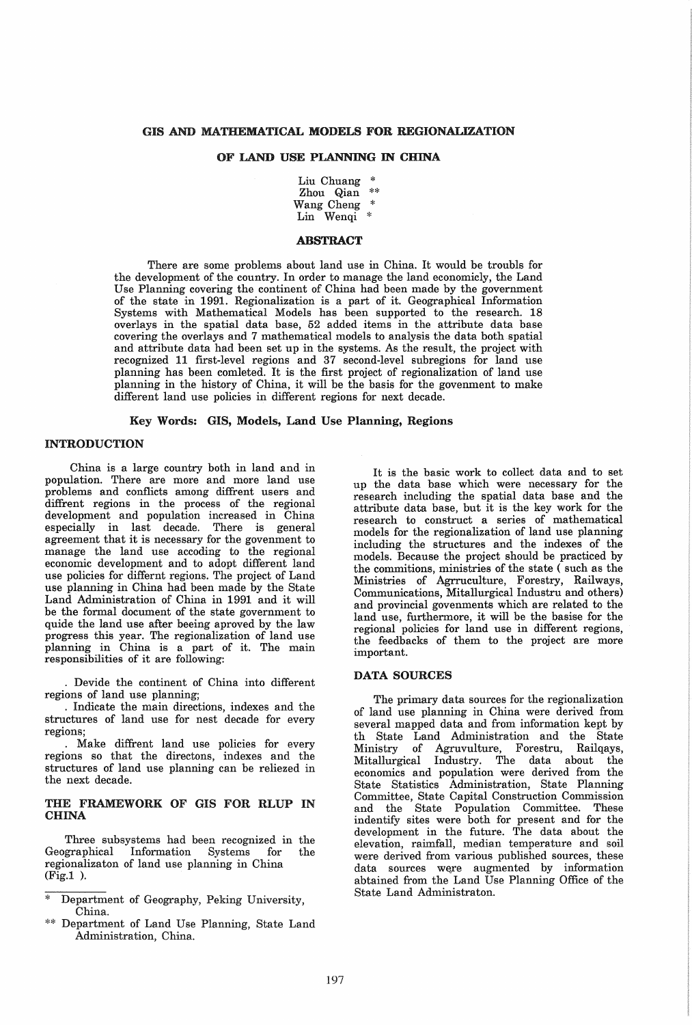# GIS AND MATHEMATICAL MODELS FOR REGIONALIZATION

## OF LAND USE PLANNING IN CHINA

Liu Chuang \* Zhou Qian \*\* Wang Cheng \*

Lin Wenqi \*

#### ABSTRACT

There are some problems about land use in China. It would be troubls for the development of the country. In order to manage the land economicly, the Land Use Planning covering the continent of China had been made by the government of the state in 1991. Regionalization is a part of it. Geographical Information Systems with Mathematical Models has been supported to the research. 18 overlays in the spatial data base,  $52$  added items in the attribute data base covering the overlays and 7 mathematical models to analysis the data both spatial and attribute data had been set up in the systems. As the result, the project with recognized 11 first-level regions and 37 second-level subregions for land use planning has been comleted. It is the first project of regionalization of land use planning in the history of China, it will be the basis for the govenment to make different land use policies in different regions for next decade.

#### Key Words: GIS, Models, Land Use Planning, Regions

#### INTRODUCTION

China is a large country both in land and in population. There are more and more land use problems and conflicts among diffrent users and diffrent regions in the process of the regional development and population increased in China<br>especially in last decade. There is general especially in last decade. agreement that it is necessary for the govenment to manage the land use accoding to the regional economic development and to adopt different land use policies for differnt regions. The project of Land use planning in China had been made by the State Land Administration of China in 1991 and it will be the formal document of the state government to quide the land use after beeing aproved by the law progress this year. The regionalization of land use planning in China is a part of it. The main responsibilities of it are following:

· Devide the continent of China into different regions of land use planning;

· Indicate the main directions, indexes and the structures of land use for nest decade for every regions;

· Make diffrent land use policies for every regions so that the directons, indexes and the structures of land use planning can be reliezed in the next decade.

## THE FRAMEWORK OF GIS FOR RLUP IN CHINA

Three subsystems had been recognized in the Geographical Information Systems for the Information Systems for regionalizaton of land use planning in China  $(Fig. 1)$ .

- Department of Geography, Peking University, China.
- \*\* Department of Land Use Planning, State Land Administration, China.

It is the basic work to collect data and to set up the data base which were necessary for the research including the spatial data base and the attribute data base, but it is the key work for the research to construct a series of mathematical models for the regionalization of land use planning including the structures and the indexes of the models. Because the project should be practiced by the commitions, ministries of the state (such as the Ministries of' Agrruculture, Forestry, Railways, Communications, Mitallurgical Industru and others) and provincial govenments which are related to the land use, furthermore, it will be the basise for the regional policies for land use in different regions, the feedbacks of them to the project are more important.

#### DATA SOURCES

The primary data sources for the regionalization of land use planning in China were derived from several mapped data and from information kept by th State Land Administration and the State Ministry of Agruvulture, Forestru, Railqays, Industry. The data about the economics and population were derived from the State Statistics Administration, State Planning Committee, State Capital Construction Commission and the State Population Committee. These indentify sites were both for present and for the development in the future. The data about the elevation, raimfall, median temperature and soil were derived from various published sources, these data sources were augmented by information abtained from the Land Use Planning Office of the State Land Administraton.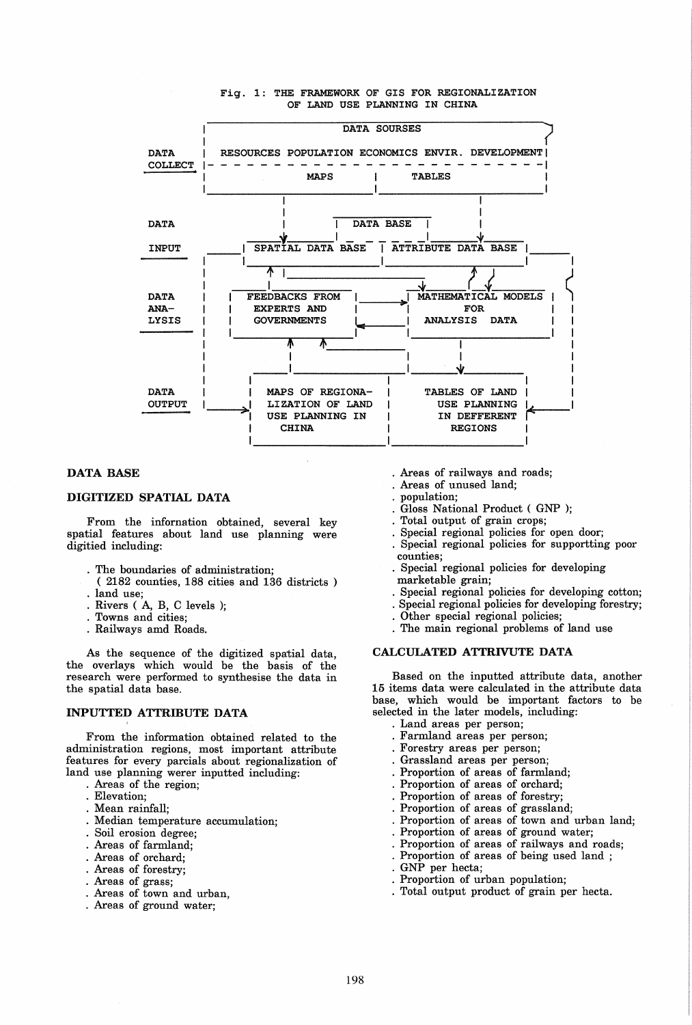#### Fig. 1: THE FRAMEWORK OF GIS FOR REGIONALIZATION OF LAND USE PLANNING IN CHINA



## DATA BASE

## DIGITIZED SPATIAL DATA

From the infornation obtained, several key spatial features about land use planning were digitied including:

- · The boundaries of administration;
- ( 2182 counties, 188 cities and 136 districts) . land use;<br>Rivers (A, B, C levels );
- 
- · Towns and cities;
- · Railways amd Roads.

As the sequence of the digitized spatial data, the overlays which would be the basis of the research were performed to synthesise the data in the spatial data base.

## INPUTTED ATTRIBUTE DATA

From the information obtained related to the administration regions, most important attribute features for every parcials about regionalization of land use planning werer inputted including:

- · Areas of the region;
- · Elevation;
- · Mean rainfall;
- · Median temperature accumulation;
- · Soil erosion degree;
- · Areas of farmland;
- 
- · Areas of orchard; · Areas of forestry;
- 
- · Areas of grass;
- · Areas of town and urban,
- · Areas of ground water;
- · Areas of railways and roads;
- · Areas of unused land;
- population;
- Gloss National Product (GNP);
- Total output of grain crops;
- Special regional policies for open door;
- Special regional policies for supportting poor counties;
- · Special regional policies for developing marketable grain;
- · Special regional policies for developing cotton;
- Special regional policies for developing forestry;
- Other special regional policies;
- The main regional problems of land use

#### CALCULATED ATTRIVUTE DATA

Based on the inputted attribute data, another 15 items data were calculated in the attribute data base, which would be important factors to be selected in the later models, including:

- · Land areas per person;
- Farmland areas per person;
- · Forestry areas per person;
- Grassland areas per person;
- 
- Proportion of areas of farmland;
- Proportion of areas of orchard;
- Proportion of areas of forestry;
- Proportion of areas of grassland;
- Proportion of areas of town and urban land;
- · Proportion of areas of ground water;
- Proportion of areas of railways and roads;
- Proportion of areas of being used land;<br>GNP per hecta;
- 
- 
- Proportion of urban population;
- Total output product of grain per hecta.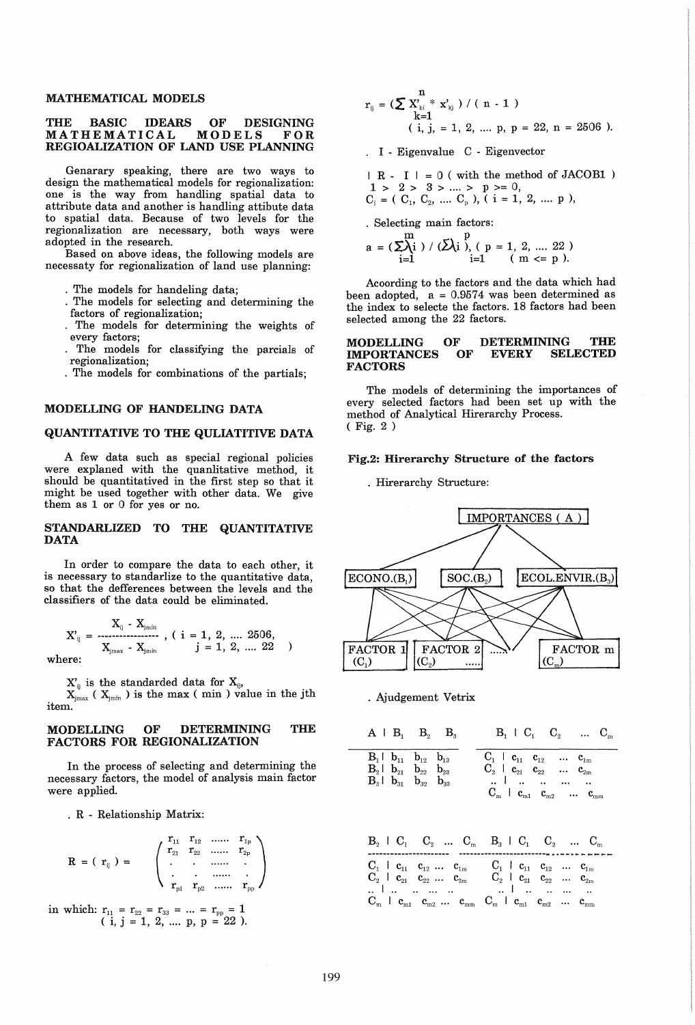#### MATHEMATICAL MODELS

### THE BASIC IDEARS OF DESIGNING<br>MATHEMATICAL MODELS FOR **MATHEMATICAL** REGIOALIZATION OF LAND USE PLANNING

Genarary speaking, there are two ways to design the mathematical models for regionalization: one is the way from handling spatial data to attribute data and another is handling attibute data to spatial data. Because of two levels for the regionalization are necessary, both ways were adopted in the research.

Based on above ideas, the following models are necessaty for regionalization of land use planning;

- The models for handeling data;
- The models for selecting and determining the factors of regionalization;
- · The models for determining the weights of every factors;
- · The models for classifying the parcials of regionalization;
- · The models for combinations of the partials;

## MODELLING OF HANDELING DATA

## QUANTITATIVE TO THE QULIATITIVE DATA

A few data such as special regional policies were explaned with the quanlitative method, it should be quantitatived in the first step so that it might be used together with other data. We give them as 1 or 0 for yes or no.

## STANDARLIZED TO THE QUANTITATIVE DATA

In order to compare the data to each other, it is necessary to standarlize to the quantitative data, so that the defferences between the levels and the classifiers of the data could be eliminated.

$$
X'_{ij} = \frac{X_{ij} - X_{jmin}}{X_{jmax} - X_{jmin}}, \quad (i = 1, 2, \ldots, 2506, \quad j = 1, 2, \ldots, 22)
$$

where:

 $X'_{ij}$  is the standarded data for  $X_{ij}$ ,

 $X_{j_{\text{max}}}$  ( $X_{j_{\text{min}}}$ ) is the max (min) value in the jth item.

### MODELLING OF DETERMINING THE FACTORS FOR REGIONALIZATION

In the process of selecting and determining the necessary factors, the model of analysis main factor were applied.

. R - Relationship Matrix:

$$
R = (r_{ij}) = \left( \begin{array}{cccc} r_{11} & r_{12} & \dots & r_{1p} \\ r_{21} & r_{22} & \dots & r_{2p} \\ \vdots & \vdots & \dots & \vdots \\ r_{p1} & r_{p2} & \dots & r_{pp} \end{array} \right)
$$

in which:  $r_{11} = r_{22} = r_{33} = ... = r_{pp} = 1$  $(i, j = 1, 2, \dots p, p = 22)$ .

$$
r_{ij} = \left(\sum_{k=1}^{n} X_{ki}^{n} * x_{kj}\right) / (n - 1)
$$
  
\n
$$
\left(i, j, = 1, 2, ..., p, p = 22, n = 2506\right).
$$

. I - Eigenvalue C - Eigenvector

$$
| R - I | = 0
$$
 (with the method of JACOB1 )  
  $1 > 2 > 3 > ... > p > = 0$ ,  
  $C_i = (C_1, C_2, ... C_p)$ ,  $(i = 1, 2, ... p)$ ,

. Selecting main factors:

$$
a = (\sum_{i=1}^{m} ) / (\bar{\sum}_{i}^{p}) (p = 1, 2, .... 22)
$$
  
if  $i = 1$  (m  $\leq p$ ).

Acoording to the factors and the data which had been adopted,  $a = 0.9574$  was been determined as the index to selecte the factors. 18 factors had been selected among the 22 factors.

#### MODELLING OF<br>IMPORTANCES OF **IMPORTANCES** FACTORS DETERMINING THE EVERY SELECTED **SELECTED**

The models of determining the importances of every selected factors had been set up with the method of Analytical Hirerarchy Process. ( Fig. 2 )

#### Fig.2: Hirerarchy Structure of the factors

. Hirerarchy Structure:





$$
\begin{array}{ccccccccc}A & A & B_1 & B_2 & B_3 & & B_1 & C_1 & C_2 & ... & C_m \\ \hline B_1 & b_{11} & b_{12} & b_{13} & & & & C_1 & c_{11} & c_{12} & ... & c_{1m} \\ B_2 & b_{21} & b_{22} & b_{23} & & & C_2 & c_{21} & c_{22} & ... & c_{2m} \\ B_3 & b_{31} & b_{32} & b_{33} & & & ... & ... & ... & ... & ... \\ & & & & & & & & C_m & c_{m2} & ... & c_{mn} \end{array}
$$

|  | $\mathrm{B}_{2}$   $\mathrm{C}_{1}$   $\mathrm{C}_{2}$      $\mathrm{C}_{m}$   $\mathrm{B}_{3}$   $\mathrm{C}_{1}$   $\mathrm{C}_{2}$      $\mathrm{C}_{m}$ |                                                                                                                  |                                                                          |  |  |
|--|-------------------------------------------------------------------------------------------------------------------------------------------------------------|------------------------------------------------------------------------------------------------------------------|--------------------------------------------------------------------------|--|--|
|  | $C_1$   $c_{11}$ $c_{12}$ $c_{1m}$<br>$C_2$   $c_{21}$ $c_{22}$ $c_{2m}$                                                                                    |                                                                                                                  | $C_1$   $c_{11}$ $c_{12}$ $c_{1m}$<br>$C_2$   $c_{21}$ $c_{22}$ $c_{2m}$ |  |  |
|  | <br>$C_m$ l $c_{m1}$ $c_{m2}$ $c_{mm}$                                                                                                                      | $\mathbf{C}_{\mathrm{m}}$   $\mathbf{c}_{\mathrm{m1}}$   $\mathbf{c}_{\mathrm{m2}}$   $\mathbf{c}_{\mathrm{m1}}$ |                                                                          |  |  |